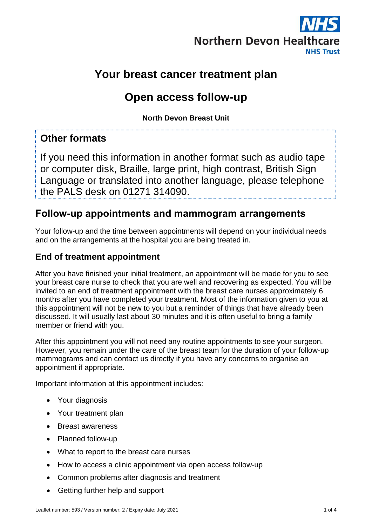

# **Your breast cancer treatment plan**

# **Open access follow-up**

**North Devon Breast Unit**

# **Other formats**

If you need this information in another format such as audio tape or computer disk, Braille, large print, high contrast, British Sign Language or translated into another language, please telephone the PALS desk on 01271 314090.

# **Follow-up appointments and mammogram arrangements**

Your follow-up and the time between appointments will depend on your individual needs and on the arrangements at the hospital you are being treated in.

### **End of treatment appointment**

After you have finished your initial treatment, an appointment will be made for you to see your breast care nurse to check that you are well and recovering as expected. You will be invited to an end of treatment appointment with the breast care nurses approximately 6 months after you have completed your treatment. Most of the information given to you at this appointment will not be new to you but a reminder of things that have already been discussed. It will usually last about 30 minutes and it is often useful to bring a family member or friend with you.

After this appointment you will not need any routine appointments to see your surgeon. However, you remain under the care of the breast team for the duration of your follow-up mammograms and can contact us directly if you have any concerns to organise an appointment if appropriate.

Important information at this appointment includes:

- Your diagnosis
- Your treatment plan
- Breast awareness
- Planned follow-up
- What to report to the breast care nurses
- How to access a clinic appointment via open access follow-up
- Common problems after diagnosis and treatment
- Getting further help and support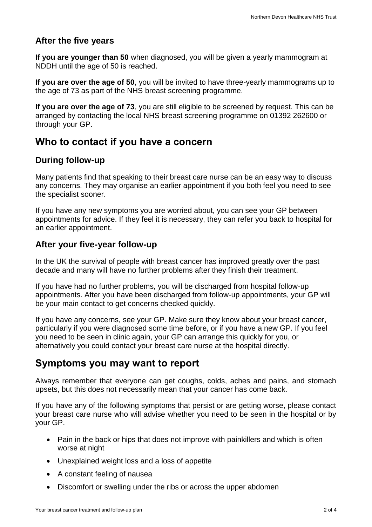### **After the five years**

**If you are younger than 50** when diagnosed, you will be given a yearly mammogram at NDDH until the age of 50 is reached.

**If you are over the age of 50**, you will be invited to have three-yearly mammograms up to the age of 73 as part of the NHS breast screening programme.

**If you are over the age of 73**, you are still eligible to be screened by request. This can be arranged by contacting the local NHS breast screening programme on 01392 262600 or through your GP.

# **Who to contact if you have a concern**

#### **During follow-up**

Many patients find that speaking to their breast care nurse can be an easy way to discuss any concerns. They may organise an earlier appointment if you both feel you need to see the specialist sooner.

If you have any new symptoms you are worried about, you can see your GP between appointments for advice. If they feel it is necessary, they can refer you back to hospital for an earlier appointment.

#### **After your five-year follow-up**

In the UK the survival of people with breast cancer has improved greatly over the past decade and many will have no further problems after they finish their treatment.

If you have had no further problems, you will be discharged from hospital follow-up appointments. After you have been discharged from follow-up appointments, your GP will be your main contact to get concerns checked quickly.

If you have any concerns, see your GP. Make sure they know about your breast cancer, particularly if you were diagnosed some time before, or if you have a new GP. If you feel you need to be seen in clinic again, your GP can arrange this quickly for you, or alternatively you could contact your breast care nurse at the hospital directly.

# **Symptoms you may want to report**

Always remember that everyone can get coughs, colds, aches and pains, and stomach upsets, but this does not necessarily mean that your cancer has come back.

If you have any of the following symptoms that persist or are getting worse, please contact your breast care nurse who will advise whether you need to be seen in the hospital or by your GP.

- Pain in the back or hips that does not improve with painkillers and which is often worse at night
- Unexplained weight loss and a loss of appetite
- A constant feeling of nausea
- Discomfort or swelling under the ribs or across the upper abdomen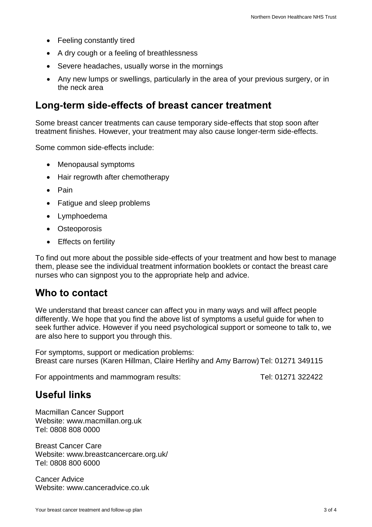- Feeling constantly tired
- A dry cough or a feeling of breathlessness
- Severe headaches, usually worse in the mornings
- Any new lumps or swellings, particularly in the area of your previous surgery, or in the neck area

## **Long-term side-effects of breast cancer treatment**

Some breast cancer treatments can cause temporary side-effects that stop soon after treatment finishes. However, your treatment may also cause longer-term side-effects.

Some common side-effects include:

- Menopausal symptoms
- Hair regrowth after chemotherapy
- Pain
- Fatigue and sleep problems
- Lymphoedema
- Osteoporosis
- Effects on fertility

To find out more about the possible side-effects of your treatment and how best to manage them, please see the individual treatment information booklets or contact the breast care nurses who can signpost you to the appropriate help and advice.

### **Who to contact**

We understand that breast cancer can affect you in many ways and will affect people differently. We hope that you find the above list of symptoms a useful guide for when to seek further advice. However if you need psychological support or someone to talk to, we are also here to support you through this.

For symptoms, support or medication problems: Breast care nurses (Karen Hillman, Claire Herlihy and Amy Barrow) Tel: 01271 349115

For appointments and mammogram results: Tel: 01271 322422

### **Useful links**

Macmillan Cancer Support Website: [www.macmillan.org.uk](http://www.macmillan.org.uk/) Tel: 0808 808 0000

Breast Cancer Care Website: [www.breastcancercare.org.uk/](http://www.breastcancercare.org.uk/) Tel: 0808 800 6000

Cancer Advice Website: [www.canceradvice.co.uk](http://www.canceradvice.co.uk/)